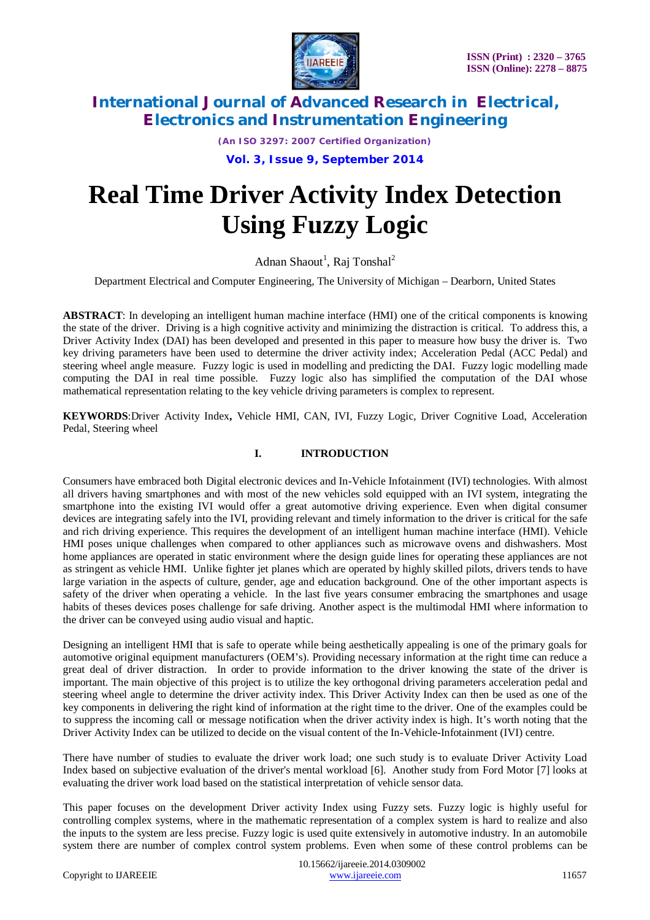

*(An ISO 3297: 2007 Certified Organization)*

**Vol. 3, Issue 9, September 2014**

# **Real Time Driver Activity Index Detection Using Fuzzy Logic**

Adnan Shaout<sup>1</sup>, Raj Tonshal<sup>2</sup>

Department Electrical and Computer Engineering, The University of Michigan – Dearborn, United States

**ABSTRACT**: In developing an intelligent human machine interface (HMI) one of the critical components is knowing the state of the driver. Driving is a high cognitive activity and minimizing the distraction is critical. To address this, a Driver Activity Index (DAI) has been developed and presented in this paper to measure how busy the driver is. Two key driving parameters have been used to determine the driver activity index; Acceleration Pedal (ACC Pedal) and steering wheel angle measure. Fuzzy logic is used in modelling and predicting the DAI. Fuzzy logic modelling made computing the DAI in real time possible. Fuzzy logic also has simplified the computation of the DAI whose mathematical representation relating to the key vehicle driving parameters is complex to represent.

**KEYWORDS**:Driver Activity Index**,** Vehicle HMI, CAN, IVI, Fuzzy Logic, Driver Cognitive Load, Acceleration Pedal, Steering wheel

### **I. INTRODUCTION**

Consumers have embraced both Digital electronic devices and In-Vehicle Infotainment (IVI) technologies. With almost all drivers having smartphones and with most of the new vehicles sold equipped with an IVI system, integrating the smartphone into the existing IVI would offer a great automotive driving experience. Even when digital consumer devices are integrating safely into the IVI, providing relevant and timely information to the driver is critical for the safe and rich driving experience. This requires the development of an intelligent human machine interface (HMI). Vehicle HMI poses unique challenges when compared to other appliances such as microwave ovens and dishwashers. Most home appliances are operated in static environment where the design guide lines for operating these appliances are not as stringent as vehicle HMI. Unlike fighter jet planes which are operated by highly skilled pilots, drivers tends to have large variation in the aspects of culture, gender, age and education background. One of the other important aspects is safety of the driver when operating a vehicle. In the last five years consumer embracing the smartphones and usage habits of theses devices poses challenge for safe driving. Another aspect is the multimodal HMI where information to the driver can be conveyed using audio visual and haptic.

Designing an intelligent HMI that is safe to operate while being aesthetically appealing is one of the primary goals for automotive original equipment manufacturers (OEM's). Providing necessary information at the right time can reduce a great deal of driver distraction. In order to provide information to the driver knowing the state of the driver is important. The main objective of this project is to utilize the key orthogonal driving parameters acceleration pedal and steering wheel angle to determine the driver activity index. This Driver Activity Index can then be used as one of the key components in delivering the right kind of information at the right time to the driver. One of the examples could be to suppress the incoming call or message notification when the driver activity index is high. It's worth noting that the Driver Activity Index can be utilized to decide on the visual content of the In-Vehicle-Infotainment (IVI) centre.

There have number of studies to evaluate the driver work load; one such study is to evaluate Driver Activity Load Index based on subjective evaluation of the driver's mental workload [6]. Another study from Ford Motor [7] looks at evaluating the driver work load based on the statistical interpretation of vehicle sensor data.

This paper focuses on the development Driver activity Index using Fuzzy sets. Fuzzy logic is highly useful for controlling complex systems, where in the mathematic representation of a complex system is hard to realize and also the inputs to the system are less precise. Fuzzy logic is used quite extensively in automotive industry. In an automobile system there are number of complex control system problems. Even when some of these control problems can be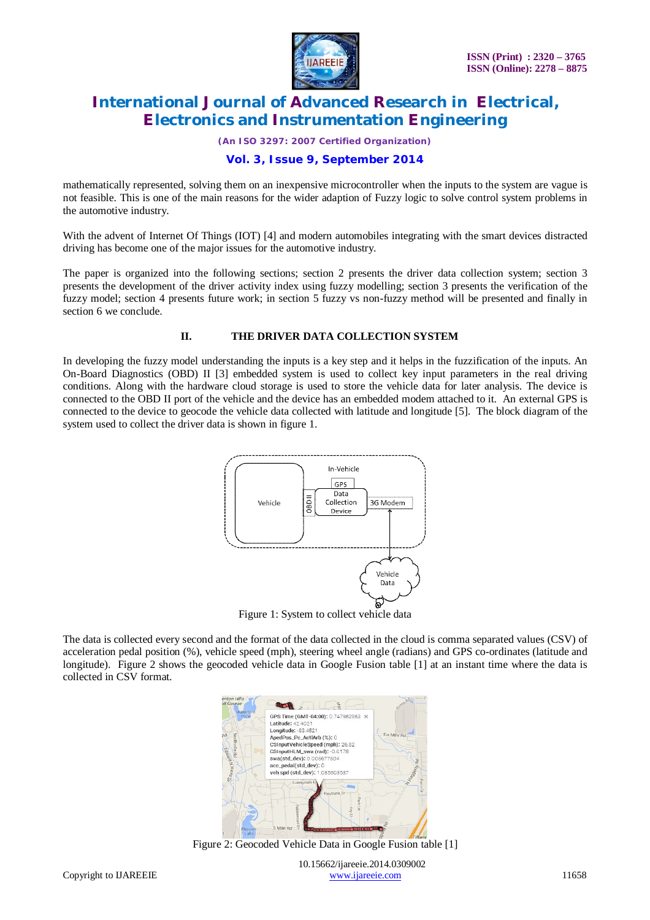

*(An ISO 3297: 2007 Certified Organization)*

### **Vol. 3, Issue 9, September 2014**

mathematically represented, solving them on an inexpensive microcontroller when the inputs to the system are vague is not feasible. This is one of the main reasons for the wider adaption of Fuzzy logic to solve control system problems in the automotive industry.

With the advent of Internet Of Things (IOT) [4] and modern automobiles integrating with the smart devices distracted driving has become one of the major issues for the automotive industry.

The paper is organized into the following sections; section 2 presents the driver data collection system; section 3 presents the development of the driver activity index using fuzzy modelling; section 3 presents the verification of the fuzzy model; section 4 presents future work; in section 5 fuzzy vs non-fuzzy method will be presented and finally in section 6 we conclude.

#### **II. THE DRIVER DATA COLLECTION SYSTEM**

In developing the fuzzy model understanding the inputs is a key step and it helps in the fuzzification of the inputs. An On-Board Diagnostics (OBD) II [3] embedded system is used to collect key input parameters in the real driving conditions. Along with the hardware cloud storage is used to store the vehicle data for later analysis. The device is connected to the OBD II port of the vehicle and the device has an embedded modem attached to it. An external GPS is connected to the device to geocode the vehicle data collected with latitude and longitude [5]. The block diagram of the system used to collect the driver data is shown in figure 1.



The data is collected every second and the format of the data collected in the cloud is comma separated values (CSV) of acceleration pedal position (%), vehicle speed (mph), steering wheel angle (radians) and GPS co-ordinates (latitude and longitude). Figure 2 shows the geocoded vehicle data in Google Fusion table [1] at an instant time where the data is collected in CSV format.



Figure 2: Geocoded Vehicle Data in Google Fusion table [1]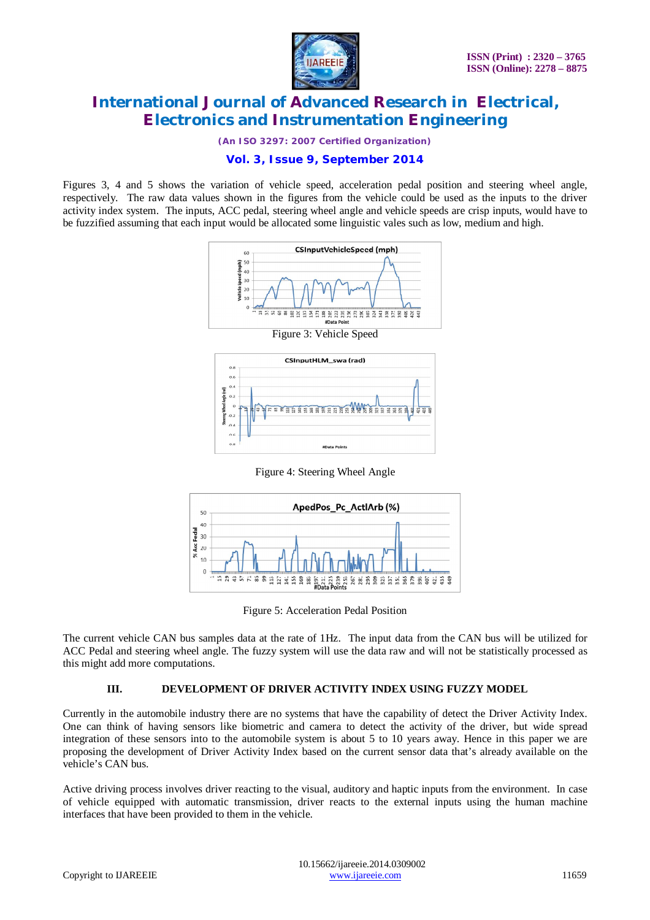

*(An ISO 3297: 2007 Certified Organization)*

### **Vol. 3, Issue 9, September 2014**

Figures 3, 4 and 5 shows the variation of vehicle speed, acceleration pedal position and steering wheel angle, respectively. The raw data values shown in the figures from the vehicle could be used as the inputs to the driver activity index system. The inputs, ACC pedal, steering wheel angle and vehicle speeds are crisp inputs, would have to be fuzzified assuming that each input would be allocated some linguistic vales such as low, medium and high.





Figure 4: Steering Wheel Angle



Figure 5: Acceleration Pedal Position

The current vehicle CAN bus samples data at the rate of 1Hz. The input data from the CAN bus will be utilized for ACC Pedal and steering wheel angle. The fuzzy system will use the data raw and will not be statistically processed as this might add more computations.

### **III. DEVELOPMENT OF DRIVER ACTIVITY INDEX USING FUZZY MODEL**

Currently in the automobile industry there are no systems that have the capability of detect the Driver Activity Index. One can think of having sensors like biometric and camera to detect the activity of the driver, but wide spread integration of these sensors into to the automobile system is about 5 to 10 years away. Hence in this paper we are proposing the development of Driver Activity Index based on the current sensor data that's already available on the vehicle's CAN bus.

Active driving process involves driver reacting to the visual, auditory and haptic inputs from the environment. In case of vehicle equipped with automatic transmission, driver reacts to the external inputs using the human machine interfaces that have been provided to them in the vehicle.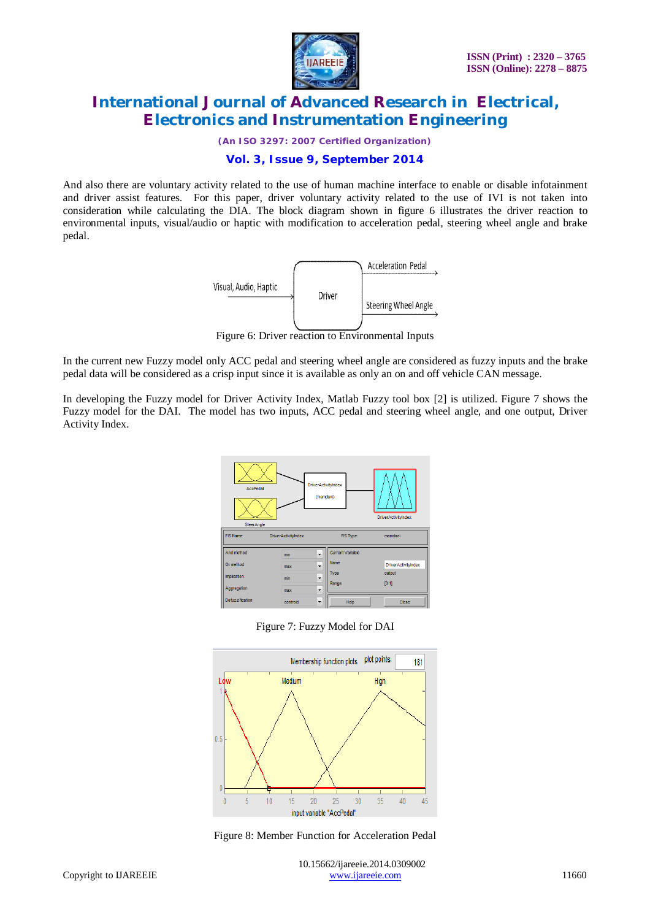

*(An ISO 3297: 2007 Certified Organization)*

### **Vol. 3, Issue 9, September 2014**

And also there are voluntary activity related to the use of human machine interface to enable or disable infotainment and driver assist features. For this paper, driver voluntary activity related to the use of IVI is not taken into consideration while calculating the DIA. The block diagram shown in figure 6 illustrates the driver reaction to environmental inputs, visual/audio or haptic with modification to acceleration pedal, steering wheel angle and brake pedal.



Figure 6: Driver reaction to Environmental Inputs

In the current new Fuzzy model only ACC pedal and steering wheel angle are considered as fuzzy inputs and the brake pedal data will be considered as a crisp input since it is available as only an on and off vehicle CAN message.

In developing the Fuzzy model for Driver Activity Index, Matlab Fuzzy tool box [2] is utilized. Figure 7 shows the Fuzzy model for the DAI. The model has two inputs, ACC pedal and steering wheel angle, and one output, Driver Activity Index.







Figure 8: Member Function for Acceleration Pedal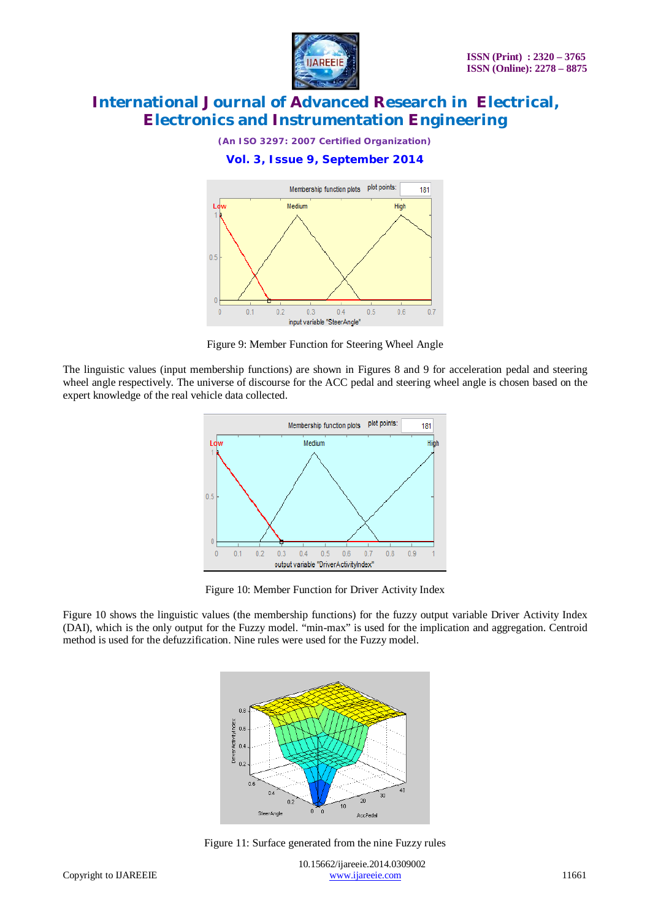

*(An ISO 3297: 2007 Certified Organization)*

### **Vol. 3, Issue 9, September 2014**



Figure 9: Member Function for Steering Wheel Angle

The linguistic values (input membership functions) are shown in Figures 8 and 9 for acceleration pedal and steering wheel angle respectively. The universe of discourse for the ACC pedal and steering wheel angle is chosen based on the expert knowledge of the real vehicle data collected.



Figure 10: Member Function for Driver Activity Index

Figure 10 shows the linguistic values (the membership functions) for the fuzzy output variable Driver Activity Index (DAI), which is the only output for the Fuzzy model. "min-max" is used for the implication and aggregation. Centroid method is used for the defuzzification. Nine rules were used for the Fuzzy model.



Figure 11: Surface generated from the nine Fuzzy rules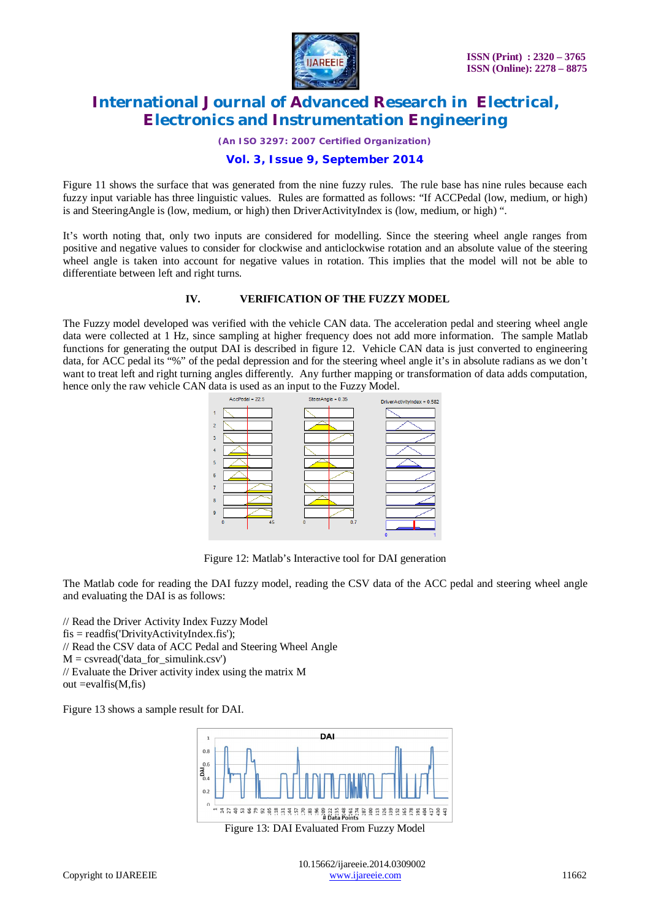

*(An ISO 3297: 2007 Certified Organization)*

### **Vol. 3, Issue 9, September 2014**

Figure 11 shows the surface that was generated from the nine fuzzy rules. The rule base has nine rules because each fuzzy input variable has three linguistic values. Rules are formatted as follows: "If ACCPedal (low, medium, or high) is and SteeringAngle is (low, medium, or high) then DriverActivityIndex is (low, medium, or high) ".

It's worth noting that, only two inputs are considered for modelling. Since the steering wheel angle ranges from positive and negative values to consider for clockwise and anticlockwise rotation and an absolute value of the steering wheel angle is taken into account for negative values in rotation. This implies that the model will not be able to differentiate between left and right turns.

#### **IV. VERIFICATION OF THE FUZZY MODEL**

The Fuzzy model developed was verified with the vehicle CAN data. The acceleration pedal and steering wheel angle data were collected at 1 Hz, since sampling at higher frequency does not add more information. The sample Matlab functions for generating the output DAI is described in figure 12. Vehicle CAN data is just converted to engineering data, for ACC pedal its "%" of the pedal depression and for the steering wheel angle it's in absolute radians as we don't want to treat left and right turning angles differently. Any further mapping or transformation of data adds computation, hence only the raw vehicle CAN data is used as an input to the Fuzzy Model.



Figure 12: Matlab's Interactive tool for DAI generation

The Matlab code for reading the DAI fuzzy model, reading the CSV data of the ACC pedal and steering wheel angle and evaluating the DAI is as follows:

// Read the Driver Activity Index Fuzzy Model  $f$ is = readfis('DrivityActivityIndex.fis'); // Read the CSV data of ACC Pedal and Steering Wheel Angle  $M =$  csvread('data for simulink.csv') // Evaluate the Driver activity index using the matrix M  $out = evalfis(M, fis)$ 

Figure 13 shows a sample result for DAI.



Figure 13: DAI Evaluated From Fuzzy Model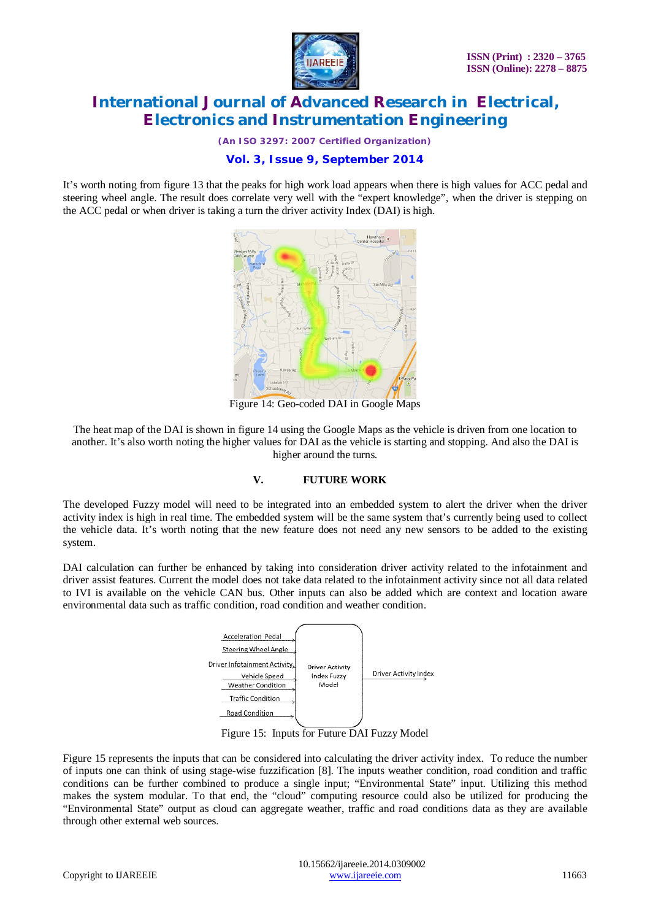

*(An ISO 3297: 2007 Certified Organization)*

### **Vol. 3, Issue 9, September 2014**

It's worth noting from figure 13 that the peaks for high work load appears when there is high values for ACC pedal and steering wheel angle. The result does correlate very well with the "expert knowledge", when the driver is stepping on the ACC pedal or when driver is taking a turn the driver activity Index (DAI) is high.



Figure 14: Geo-coded DAI in Google Maps

The heat map of the DAI is shown in figure 14 using the Google Maps as the vehicle is driven from one location to another. It's also worth noting the higher values for DAI as the vehicle is starting and stopping. And also the DAI is higher around the turns.

#### **V. FUTURE WORK**

The developed Fuzzy model will need to be integrated into an embedded system to alert the driver when the driver activity index is high in real time. The embedded system will be the same system that's currently being used to collect the vehicle data. It's worth noting that the new feature does not need any new sensors to be added to the existing system.

DAI calculation can further be enhanced by taking into consideration driver activity related to the infotainment and driver assist features. Current the model does not take data related to the infotainment activity since not all data related to IVI is available on the vehicle CAN bus. Other inputs can also be added which are context and location aware environmental data such as traffic condition, road condition and weather condition.



Figure 15: Inputs for Future DAI Fuzzy Model

Figure 15 represents the inputs that can be considered into calculating the driver activity index. To reduce the number of inputs one can think of using stage-wise fuzzification [8]. The inputs weather condition, road condition and traffic conditions can be further combined to produce a single input; "Environmental State" input. Utilizing this method makes the system modular. To that end, the "cloud" computing resource could also be utilized for producing the "Environmental State" output as cloud can aggregate weather, traffic and road conditions data as they are available through other external web sources.